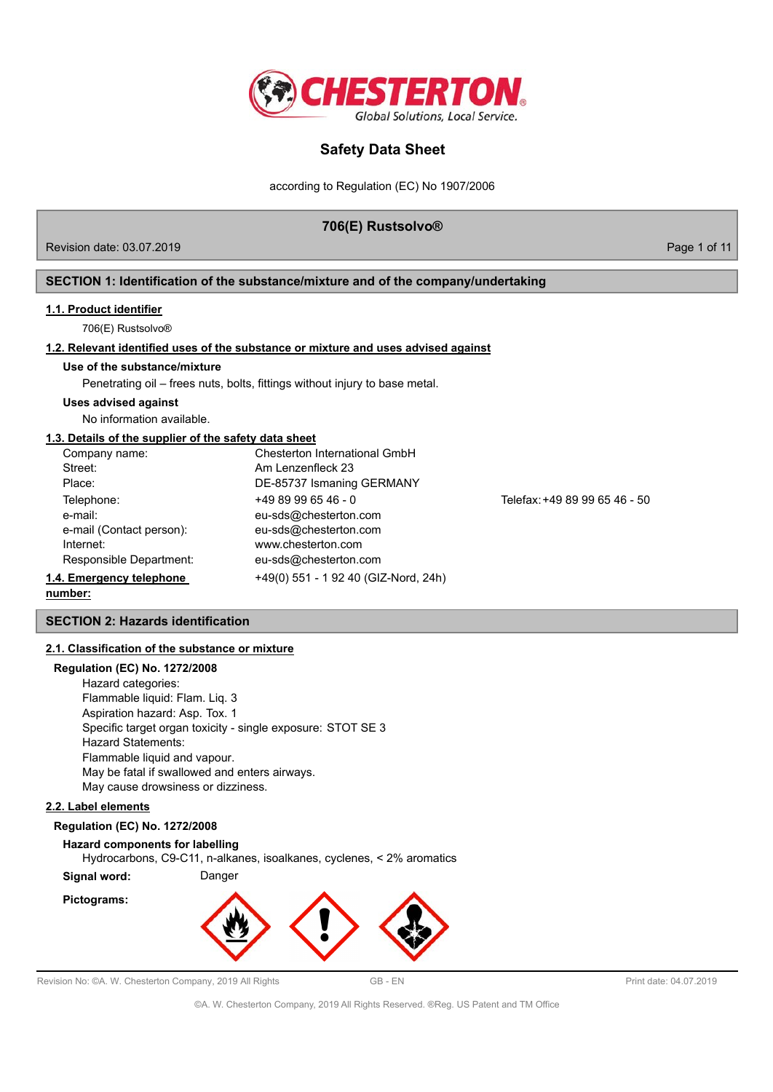

according to Regulation (EC) No 1907/2006

### **706(E) Rustsolvo®**

Revision date: 03.07.2019 **Page 1 of 11** No. 2019

### **SECTION 1: Identification of the substance/mixture and of the company/undertaking**

#### **1.1. Product identifier**

706(E) Rustsolvo®

#### **1.2. Relevant identified uses of the substance or mixture and uses advised against**

#### **Use of the substance/mixture**

Penetrating oil – frees nuts, bolts, fittings without injury to base metal.

#### **Uses advised against**

No information available.

#### **1.3. Details of the supplier of the safety data sheet**

| Company name:            | Chesterton International GmbH        |                               |
|--------------------------|--------------------------------------|-------------------------------|
| Street:                  | Am Lenzenfleck 23                    |                               |
| Place:                   | DE-85737 Ismaning GERMANY            |                               |
| Telephone:               | $+4989996546 - 0$                    | Telefax: +49 89 99 65 46 - 50 |
| e-mail:                  | eu-sds@chesterton.com                |                               |
| e-mail (Contact person): | eu-sds@chesterton.com                |                               |
| Internet:                | www.chesterton.com                   |                               |
| Responsible Department:  | eu-sds@chesterton.com                |                               |
| 1.4. Emergency telephone | +49(0) 551 - 1 92 40 (GIZ-Nord, 24h) |                               |

#### **number:**

#### **SECTION 2: Hazards identification**

#### **2.1. Classification of the substance or mixture**

### **Regulation (EC) No. 1272/2008**

Hazard categories: Flammable liquid: Flam. Liq. 3 Aspiration hazard: Asp. Tox. 1 Specific target organ toxicity - single exposure: STOT SE 3 Hazard Statements: Flammable liquid and vapour. May be fatal if swallowed and enters airways. May cause drowsiness or dizziness.

#### **2.2. Label elements**

#### **Regulation (EC) No. 1272/2008**

### **Hazard components for labelling** Hydrocarbons, C9-C11, n-alkanes, isoalkanes, cyclenes, < 2% aromatics

**Signal word:** Danger

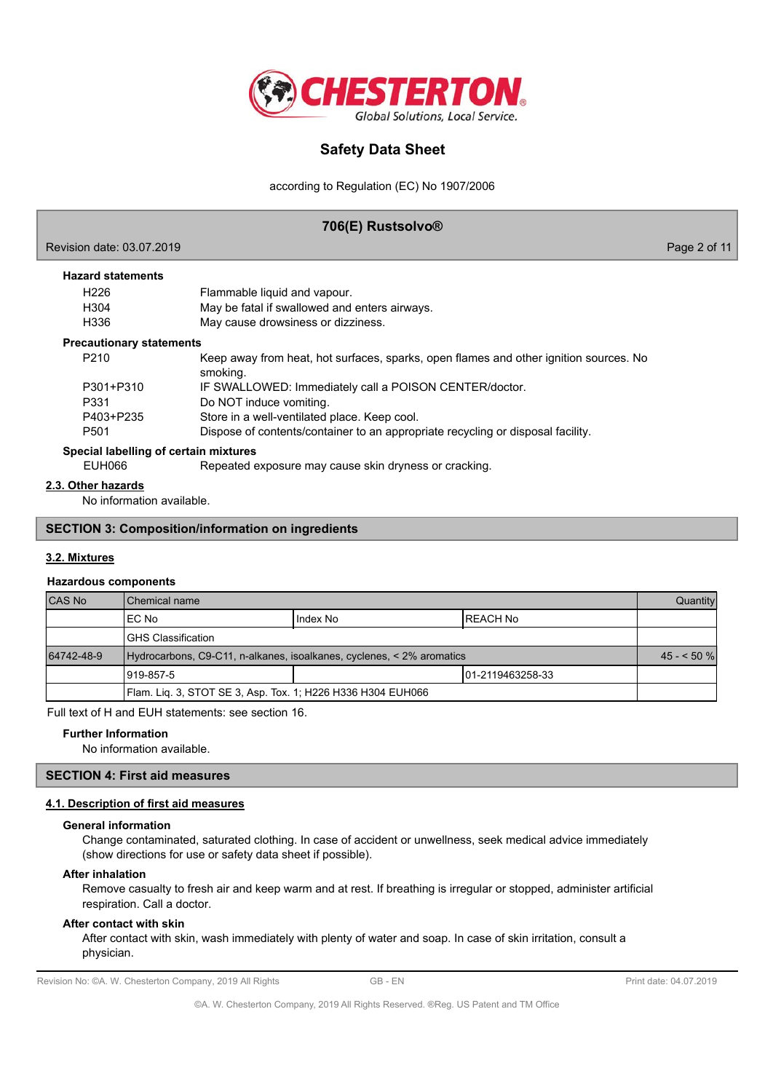

according to Regulation (EC) No 1907/2006

### **706(E) Rustsolvo®**

| Revision date: 03.07.2019             |                                                                                       | Page 2 of 11 |
|---------------------------------------|---------------------------------------------------------------------------------------|--------------|
| <b>Hazard statements</b>              |                                                                                       |              |
| H <sub>226</sub>                      | Flammable liquid and vapour.                                                          |              |
| H304                                  | May be fatal if swallowed and enters airways.                                         |              |
| H336                                  | May cause drowsiness or dizziness.                                                    |              |
| <b>Precautionary statements</b>       |                                                                                       |              |
| P <sub>210</sub>                      | Keep away from heat, hot surfaces, sparks, open flames and other ignition sources. No |              |
|                                       | smoking.                                                                              |              |
| P301+P310                             | IF SWALLOWED: Immediately call a POISON CENTER/doctor.                                |              |
| P331                                  | Do NOT induce vomiting.                                                               |              |
| P403+P235                             | Store in a well-ventilated place. Keep cool.                                          |              |
| P <sub>501</sub>                      | Dispose of contents/container to an appropriate recycling or disposal facility.       |              |
| Special labelling of certain mixtures |                                                                                       |              |
| EUH066                                | Repeated exposure may cause skin dryness or cracking.                                 |              |
| 2.3. Other hazards                    |                                                                                       |              |

No information available.

#### **SECTION 3: Composition/information on ingredients**

#### **3.2. Mixtures**

#### **Hazardous components**

| CAS No                                                      | Chemical name                                                         |          |                   | Quantity    |
|-------------------------------------------------------------|-----------------------------------------------------------------------|----------|-------------------|-------------|
|                                                             | IEC No                                                                | Index No | IREACH No         |             |
|                                                             | IGHS Classification                                                   |          |                   |             |
| 64742-48-9                                                  | Hydrocarbons, C9-C11, n-alkanes, isoalkanes, cyclenes, < 2% aromatics |          |                   | $45 - 50$ % |
|                                                             | 1919-857-5                                                            |          | 101-2119463258-33 |             |
| Flam. Lig. 3, STOT SE 3, Asp. Tox. 1; H226 H336 H304 EUH066 |                                                                       |          |                   |             |

Full text of H and EUH statements: see section 16.

#### **Further Information**

No information available.

#### **SECTION 4: First aid measures**

### **4.1. Description of first aid measures**

#### **General information**

Change contaminated, saturated clothing. In case of accident or unwellness, seek medical advice immediately (show directions for use or safety data sheet if possible).

#### **After inhalation**

Remove casualty to fresh air and keep warm and at rest. If breathing is irregular or stopped, administer artificial respiration. Call a doctor.

#### **After contact with skin**

After contact with skin, wash immediately with plenty of water and soap. In case of skin irritation, consult a physician.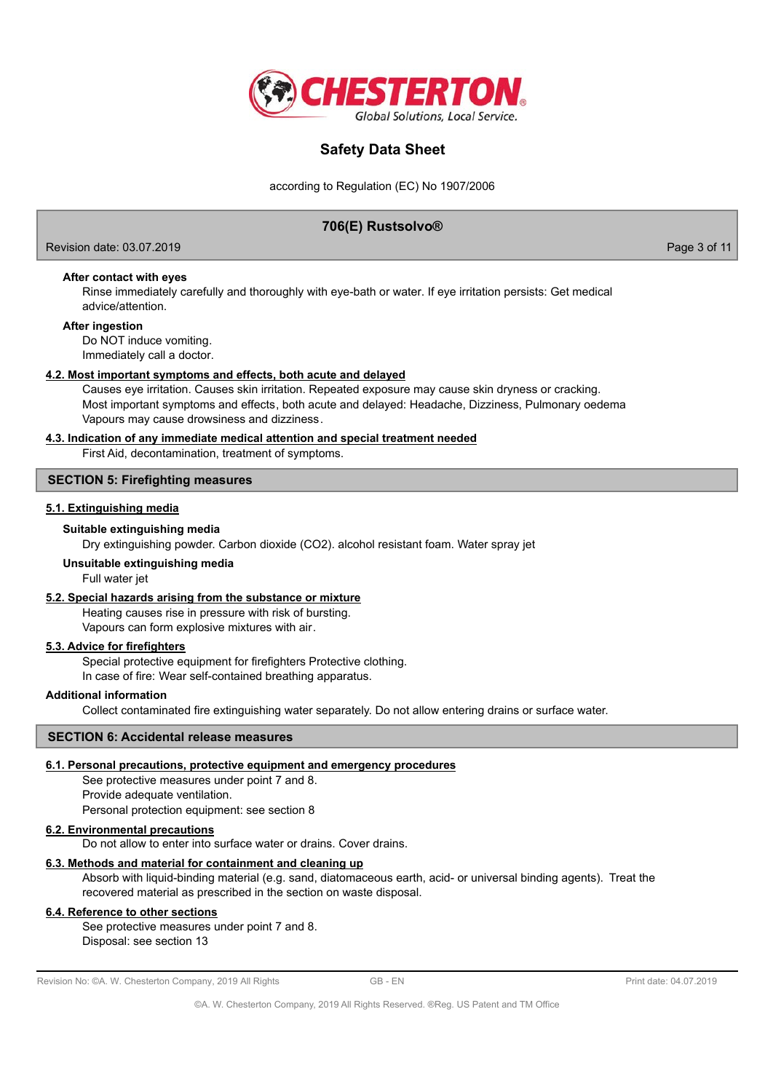

according to Regulation (EC) No 1907/2006

### **706(E) Rustsolvo®**

Revision date: 03.07.2019 Page 3 of 11

### **After contact with eyes**

Rinse immediately carefully and thoroughly with eye-bath or water. If eye irritation persists: Get medical advice/attention.

#### **After ingestion**

Do NOT induce vomiting. Immediately call a doctor.

#### **4.2. Most important symptoms and effects, both acute and delayed**

Causes eye irritation. Causes skin irritation. Repeated exposure may cause skin dryness or cracking. Most important symptoms and effects, both acute and delayed: Headache, Dizziness, Pulmonary oedema Vapours may cause drowsiness and dizziness.

#### **4.3. Indication of any immediate medical attention and special treatment needed**

First Aid, decontamination, treatment of symptoms.

#### **SECTION 5: Firefighting measures**

#### **5.1. Extinguishing media**

#### **Suitable extinguishing media**

Dry extinguishing powder. Carbon dioxide (CO2). alcohol resistant foam. Water spray jet

#### **Unsuitable extinguishing media**

Full water jet

#### **5.2. Special hazards arising from the substance or mixture**

Heating causes rise in pressure with risk of bursting. Vapours can form explosive mixtures with air.

#### **5.3. Advice for firefighters**

Special protective equipment for firefighters Protective clothing. In case of fire: Wear self-contained breathing apparatus.

#### **Additional information**

Collect contaminated fire extinguishing water separately. Do not allow entering drains or surface water.

### **SECTION 6: Accidental release measures**

### **6.1. Personal precautions, protective equipment and emergency procedures**

See protective measures under point 7 and 8. Provide adequate ventilation. Personal protection equipment: see section 8

### **6.2. Environmental precautions**

Do not allow to enter into surface water or drains. Cover drains.

### **6.3. Methods and material for containment and cleaning up**

Absorb with liquid-binding material (e.g. sand, diatomaceous earth, acid- or universal binding agents). Treat the recovered material as prescribed in the section on waste disposal.

### **6.4. Reference to other sections**

See protective measures under point 7 and 8. Disposal: see section 13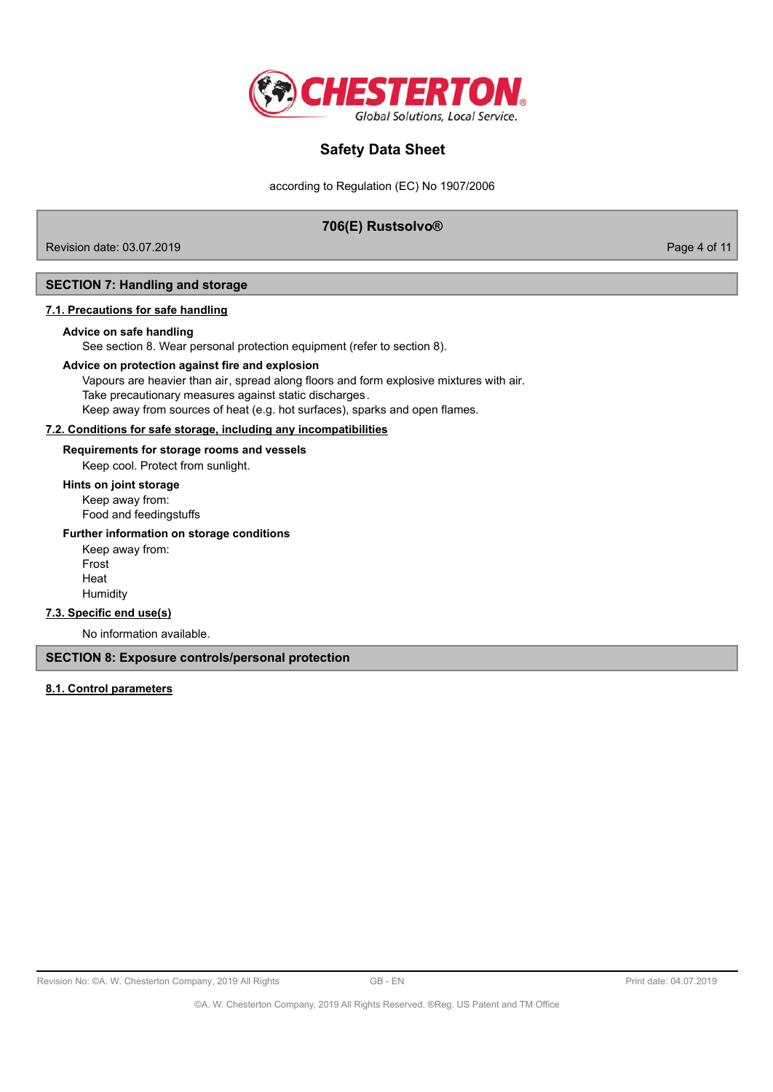

according to Regulation (EC) No 1907/2006

### **706(E) Rustsolvo®**

Revision date: 03.07.2019 Page 4 of 11

#### **SECTION 7: Handling and storage**

#### **7.1. Precautions for safe handling**

#### **Advice on safe handling**

See section 8. Wear personal protection equipment (refer to section 8).

#### **Advice on protection against fire and explosion**

Vapours are heavier than air, spread along floors and form explosive mixtures with air. Take precautionary measures against static discharges. Keep away from sources of heat (e.g. hot surfaces), sparks and open flames.

### **7.2. Conditions for safe storage, including any incompatibilities**

**Requirements for storage rooms and vessels**

Keep cool. Protect from sunlight.

### **Hints on joint storage**

Keep away from: Food and feedingstuffs

#### **Further information on storage conditions**

Keep away from: Frost Heat Humidity

### **7.3. Specific end use(s)**

No information available.

**SECTION 8: Exposure controls/personal protection**

#### **8.1. Control parameters**

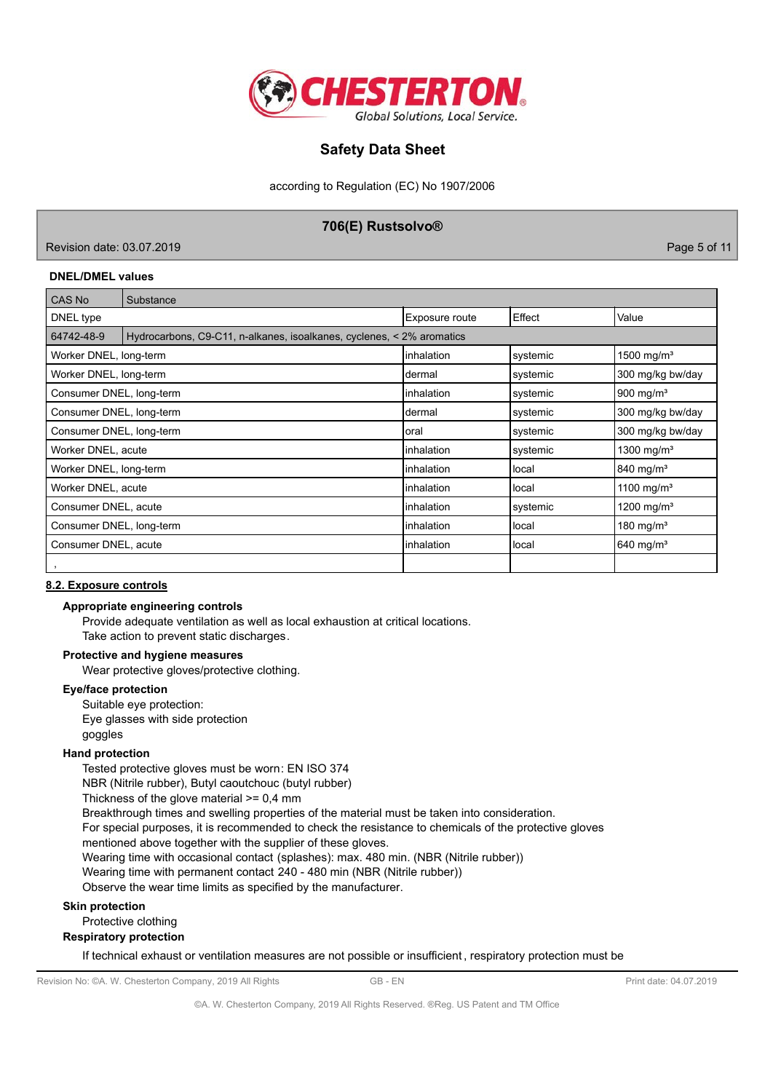

according to Regulation (EC) No 1907/2006

### **706(E) Rustsolvo®**

Revision date: 03.07.2019 Page 5 of 11

#### **DNEL/DMEL values**

| CAS No                   | Substance                                                             |                |          |                         |
|--------------------------|-----------------------------------------------------------------------|----------------|----------|-------------------------|
| DNEL type                |                                                                       | Exposure route | Effect   | Value                   |
| 64742-48-9               | Hydrocarbons, C9-C11, n-alkanes, isoalkanes, cyclenes, < 2% aromatics |                |          |                         |
| Worker DNEL, long-term   |                                                                       | inhalation     | systemic | 1500 mg/m <sup>3</sup>  |
| Worker DNEL, long-term   |                                                                       | Idermal        | systemic | 300 mg/kg bw/day        |
| Consumer DNEL, long-term |                                                                       | inhalation     | systemic | $900 \text{ mg/m}^3$    |
| Consumer DNEL, long-term |                                                                       | Idermal        | systemic | 300 mg/kg bw/day        |
| Consumer DNEL, long-term |                                                                       | loral          | systemic | 300 mg/kg bw/day        |
| Worker DNEL, acute       |                                                                       | linhalation    | systemic | 1300 mg/m <sup>3</sup>  |
| Worker DNEL, long-term   |                                                                       | inhalation     | local    | 840 mg/m <sup>3</sup>   |
| Worker DNEL, acute       |                                                                       | inhalation     | llocal   | 1100 mg/m <sup>3</sup>  |
| Consumer DNEL, acute     |                                                                       | inhalation     | systemic | 1200 mg/m <sup>3</sup>  |
| Consumer DNEL, long-term |                                                                       | inhalation     | llocal   | 180 mg/m <sup>3</sup>   |
| Consumer DNEL, acute     |                                                                       | inhalation     | llocal   | $640$ mg/m <sup>3</sup> |
|                          |                                                                       |                |          |                         |

#### **8.2. Exposure controls**

#### **Appropriate engineering controls**

Provide adequate ventilation as well as local exhaustion at critical locations. Take action to prevent static discharges.

### **Protective and hygiene measures**

Wear protective gloves/protective clothing.

#### **Eye/face protection**

Suitable eye protection: Eye glasses with side protection goggles

#### **Hand protection**

Tested protective gloves must be worn: EN ISO 374

NBR (Nitrile rubber), Butyl caoutchouc (butyl rubber)

Thickness of the glove material >= 0,4 mm

Breakthrough times and swelling properties of the material must be taken into consideration.

For special purposes, it is recommended to check the resistance to chemicals of the protective gloves

mentioned above together with the supplier of these gloves.

Wearing time with occasional contact (splashes): max. 480 min. (NBR (Nitrile rubber))

Wearing time with permanent contact 240 - 480 min (NBR (Nitrile rubber))

Observe the wear time limits as specified by the manufacturer.

#### **Skin protection**

Protective clothing

#### **Respiratory protection**

If technical exhaust or ventilation measures are not possible or insufficient , respiratory protection must be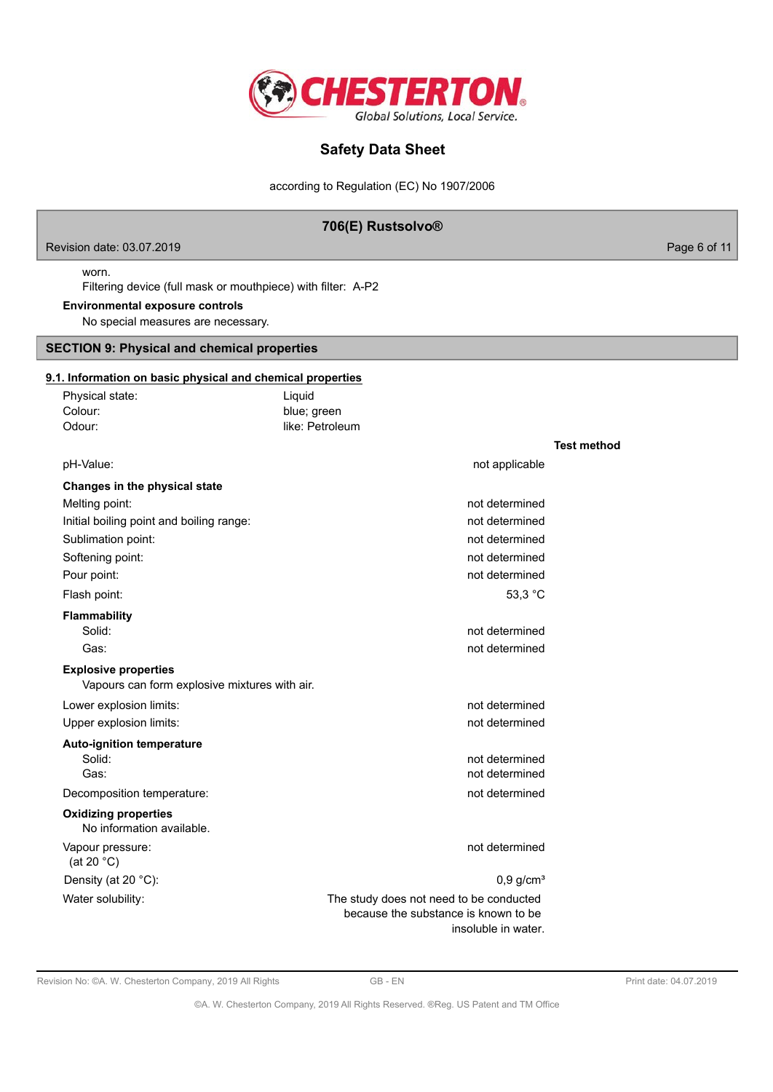

according to Regulation (EC) No 1907/2006

### **706(E) Rustsolvo®**

Revision date: 03.07.2019 **Page 6 of 11** 

### worn.

Filtering device (full mask or mouthpiece) with filter: A-P2

### **Environmental exposure controls**

No special measures are necessary.

### **SECTION 9: Physical and chemical properties**

#### **9.1. Information on basic physical and chemical properties**

| Physical state:                                                              | Liquid                                                                                                 |                    |
|------------------------------------------------------------------------------|--------------------------------------------------------------------------------------------------------|--------------------|
| Colour:                                                                      | blue; green                                                                                            |                    |
| Odour:                                                                       | like: Petroleum                                                                                        |                    |
|                                                                              |                                                                                                        | <b>Test method</b> |
| pH-Value:                                                                    | not applicable                                                                                         |                    |
| Changes in the physical state                                                |                                                                                                        |                    |
| Melting point:                                                               | not determined                                                                                         |                    |
| Initial boiling point and boiling range:                                     | not determined                                                                                         |                    |
| Sublimation point:                                                           | not determined                                                                                         |                    |
| Softening point:                                                             | not determined                                                                                         |                    |
| Pour point:                                                                  | not determined                                                                                         |                    |
| Flash point:                                                                 | 53,3 °C                                                                                                |                    |
| Flammability                                                                 |                                                                                                        |                    |
| Solid:                                                                       | not determined                                                                                         |                    |
| Gas:                                                                         | not determined                                                                                         |                    |
| <b>Explosive properties</b><br>Vapours can form explosive mixtures with air. |                                                                                                        |                    |
| Lower explosion limits:                                                      | not determined                                                                                         |                    |
| Upper explosion limits:                                                      | not determined                                                                                         |                    |
| <b>Auto-ignition temperature</b>                                             |                                                                                                        |                    |
| Solid:                                                                       | not determined                                                                                         |                    |
| Gas:                                                                         | not determined                                                                                         |                    |
| Decomposition temperature:                                                   | not determined                                                                                         |                    |
| <b>Oxidizing properties</b><br>No information available.                     |                                                                                                        |                    |
| Vapour pressure:<br>(at 20 $°C$ )                                            | not determined                                                                                         |                    |
| Density (at 20 °C):                                                          | $0,9$ g/cm <sup>3</sup>                                                                                |                    |
| Water solubility:                                                            | The study does not need to be conducted<br>because the substance is known to be<br>insoluble in water. |                    |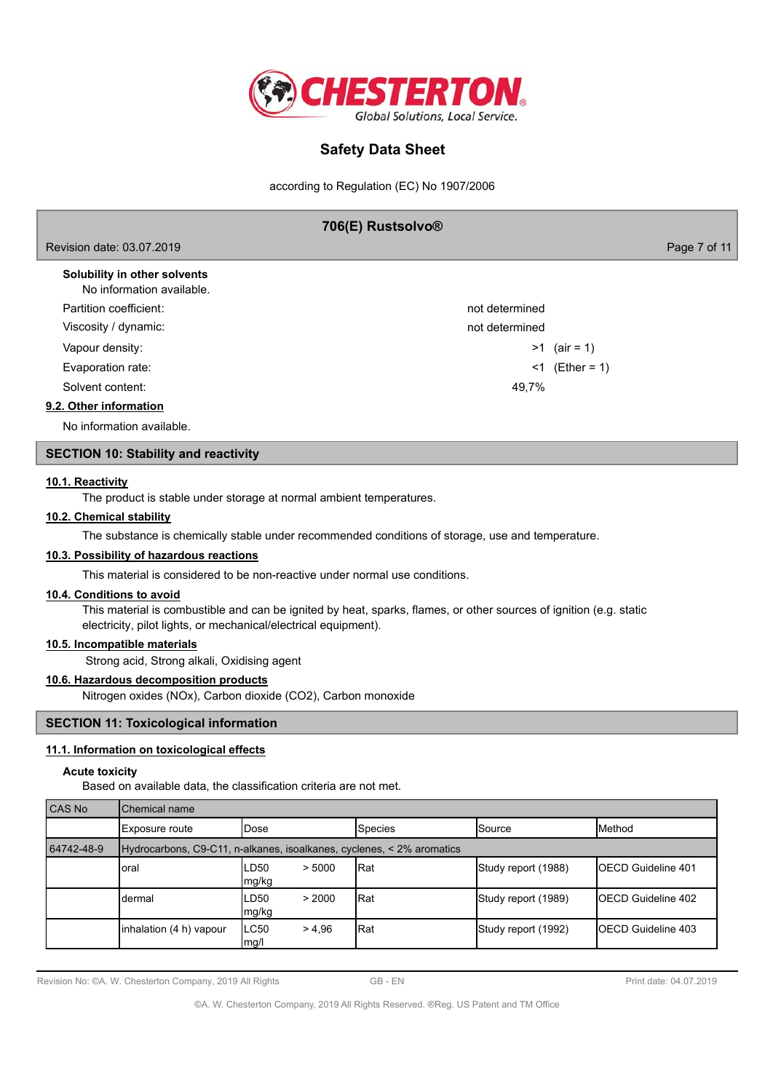

according to Regulation (EC) No 1907/2006

| 706(E) Rustsolvo®                                        |              |  |  |
|----------------------------------------------------------|--------------|--|--|
| Revision date: 03.07.2019                                | Page 7 of 11 |  |  |
| Solubility in other solvents<br>No information quailable |              |  |  |

| No information available. |                |                |
|---------------------------|----------------|----------------|
| Partition coefficient:    | not determined |                |
| Viscosity / dynamic:      | not determined |                |
| Vapour density:           |                | $>1$ (air = 1) |
| Evaporation rate:         | <1             | (Ether = 1)    |
| Solvent content:          | 49.7%          |                |
| 9.2. Other information    |                |                |
|                           |                |                |

No information available.

### **SECTION 10: Stability and reactivity**

#### **10.1. Reactivity**

The product is stable under storage at normal ambient temperatures.

#### **10.2. Chemical stability**

The substance is chemically stable under recommended conditions of storage, use and temperature.

### **10.3. Possibility of hazardous reactions**

This material is considered to be non-reactive under normal use conditions.

#### **10.4. Conditions to avoid**

This material is combustible and can be ignited by heat, sparks, flames, or other sources of ignition (e.g. static electricity, pilot lights, or mechanical/electrical equipment).

### **10.5. Incompatible materials**

Strong acid, Strong alkali, Oxidising agent

### **10.6. Hazardous decomposition products**

Nitrogen oxides (NOx), Carbon dioxide (CO2), Carbon monoxide

### **SECTION 11: Toxicological information**

### **11.1. Information on toxicological effects**

#### **Acute toxicity**

Based on available data, the classification criteria are not met.

| CAS No     | Chemical name                                                         |                         |                |                     |                            |  |
|------------|-----------------------------------------------------------------------|-------------------------|----------------|---------------------|----------------------------|--|
|            | Exposure route                                                        | <b>IDose</b>            | <b>Species</b> | <b>I</b> Source     | <b>I</b> Method            |  |
| 64742-48-9 | Hydrocarbons, C9-C11, n-alkanes, isoalkanes, cyclenes, < 2% aromatics |                         |                |                     |                            |  |
|            | oral                                                                  | LD50<br>> 5000<br>mg/kg | Rat            | Study report (1988) | <b>IOECD Guideline 401</b> |  |
|            | dermal                                                                | > 2000<br>LD50<br>mg/kg | Rat            | Study report (1989) | IOECD Guideline 402        |  |
|            | inhalation (4 h) vapour                                               | LC50<br>> 4.96<br>mg/l  | IRat           | Study report (1992) | <b>IOECD Guideline 403</b> |  |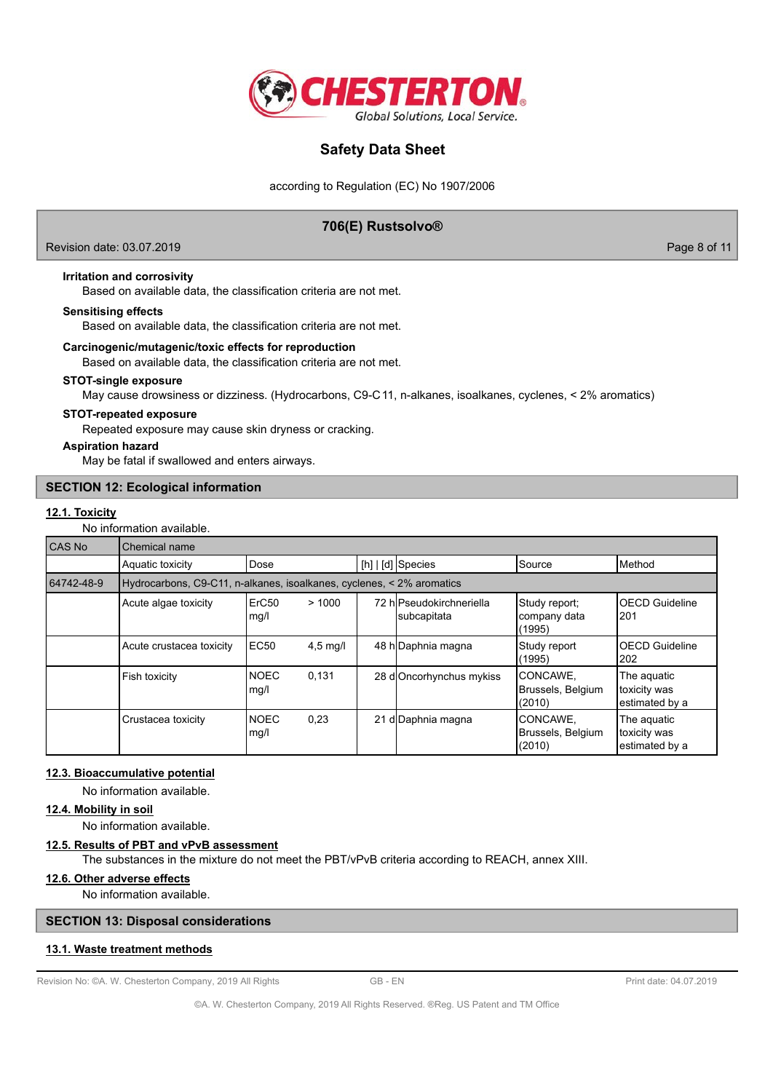

according to Regulation (EC) No 1907/2006

### **706(E) Rustsolvo®**

Revision date: 03.07.2019 Page 8 of 11

#### **Irritation and corrosivity**

Based on available data, the classification criteria are not met.

#### **Sensitising effects**

Based on available data, the classification criteria are not met.

#### **Carcinogenic/mutagenic/toxic effects for reproduction**

Based on available data, the classification criteria are not met.

#### **STOT-single exposure**

May cause drowsiness or dizziness. (Hydrocarbons, C9-C11, n-alkanes, isoalkanes, cyclenes, < 2% aromatics)

#### **STOT-repeated exposure**

Repeated exposure may cause skin dryness or cracking.

#### **Aspiration hazard**

May be fatal if swallowed and enters airways.

#### **SECTION 12: Ecological information**

#### **12.1. Toxicity**

No information available.

| <b>CAS No</b> | Chemical name                                                         |                           |            |                                         |                                          |                                               |
|---------------|-----------------------------------------------------------------------|---------------------------|------------|-----------------------------------------|------------------------------------------|-----------------------------------------------|
|               | Aquatic toxicity                                                      | Dose                      |            | $[h]   [d]$ Species                     | Source                                   | <b>I</b> Method                               |
| 64742-48-9    | Hydrocarbons, C9-C11, n-alkanes, isoalkanes, cyclenes, < 2% aromatics |                           |            |                                         |                                          |                                               |
|               | Acute algae toxicity                                                  | ErC <sub>50</sub><br>mg/l | >1000      | 72 hlPseudokirchneriella<br>subcapitata | Study report;<br> company data<br>(1995) | <b>OECD Guideline</b><br>1201                 |
|               | Acute crustacea toxicity                                              | <b>EC50</b>               | $4.5$ mg/l | 48 h Daphnia magna                      | Study report<br>(1995)                   | <b>OECD Guideline</b><br>202                  |
|               | Fish toxicity                                                         | <b>NOEC</b><br>mg/l       | 0,131      | 28 d Oncorhynchus mykiss                | CONCAWE,<br>Brussels, Belgium<br>(2010)  | The aquatic<br>toxicity was<br>estimated by a |
|               | Crustacea toxicity                                                    | <b>NOEC</b><br>mg/l       | 0,23       | 21 d Daphnia magna                      | CONCAWE,<br>Brussels, Belgium<br>(2010)  | The aguatic<br>toxicity was<br>estimated by a |

#### **12.3. Bioaccumulative potential**

No information available.

### **12.4. Mobility in soil**

No information available.

#### **12.5. Results of PBT and vPvB assessment**

The substances in the mixture do not meet the PBT/vPvB criteria according to REACH, annex XIII.

### **12.6. Other adverse effects**

No information available.

#### **SECTION 13: Disposal considerations**

#### **13.1. Waste treatment methods**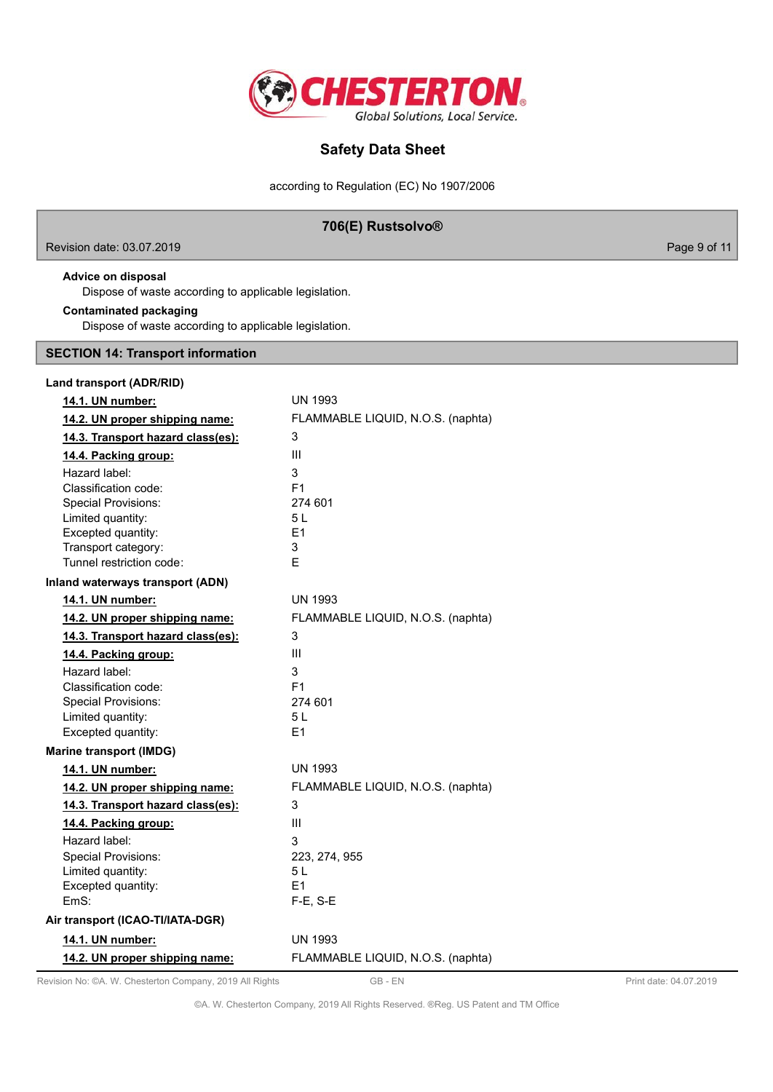

according to Regulation (EC) No 1907/2006

### **706(E) Rustsolvo®**

Revision date: 03.07.2019 **Page 9 of 11** 

### **Advice on disposal**

Dispose of waste according to applicable legislation.

#### **Contaminated packaging**

Dispose of waste according to applicable legislation.

#### **SECTION 14: Transport information**

| Land transport (ADR/RID)          |                                   |
|-----------------------------------|-----------------------------------|
| 14.1. UN number:                  | <b>UN 1993</b>                    |
| 14.2. UN proper shipping name:    | FLAMMABLE LIQUID, N.O.S. (naphta) |
| 14.3. Transport hazard class(es): | 3                                 |
| 14.4. Packing group:              | III                               |
| Hazard label:                     | 3                                 |
| Classification code:              | F1                                |
| <b>Special Provisions:</b>        | 274 601                           |
| Limited quantity:                 | 5 L                               |
| Excepted quantity:                | E1                                |
| Transport category:               | 3                                 |
| Tunnel restriction code:          | E                                 |
| Inland waterways transport (ADN)  |                                   |
| 14.1. UN number:                  | <b>UN 1993</b>                    |
| 14.2. UN proper shipping name:    | FLAMMABLE LIQUID, N.O.S. (naphta) |
| 14.3. Transport hazard class(es): | 3                                 |
| 14.4. Packing group:              | III                               |
| Hazard label:                     | 3                                 |
| Classification code:              | F <sub>1</sub>                    |
| <b>Special Provisions:</b>        | 274 601                           |
| Limited quantity:                 | 5L                                |
| Excepted quantity:                | E1                                |
| <b>Marine transport (IMDG)</b>    |                                   |
| 14.1. UN number:                  | <b>UN 1993</b>                    |
| 14.2. UN proper shipping name:    | FLAMMABLE LIQUID, N.O.S. (naphta) |
| 14.3. Transport hazard class(es): | 3                                 |
| 14.4. Packing group:              | Ш                                 |
| Hazard label:                     | 3                                 |
| <b>Special Provisions:</b>        | 223, 274, 955                     |
| Limited quantity:                 | 5 L                               |
| Excepted quantity:                | E1                                |
| EmS:                              | $F-E$ , S-E                       |
| Air transport (ICAO-TI/IATA-DGR)  |                                   |
| 14.1. UN number:                  | <b>UN 1993</b>                    |
| 14.2. UN proper shipping name:    | FLAMMABLE LIQUID, N.O.S. (naphta) |

Revision No: ©A. W. Chesterton Company, 2019 All Rights GB - EN GB - EN Print date: 04.07.2019

©A. W. Chesterton Company, 2019 All Rights Reserved. ®Reg. US Patent and TM Office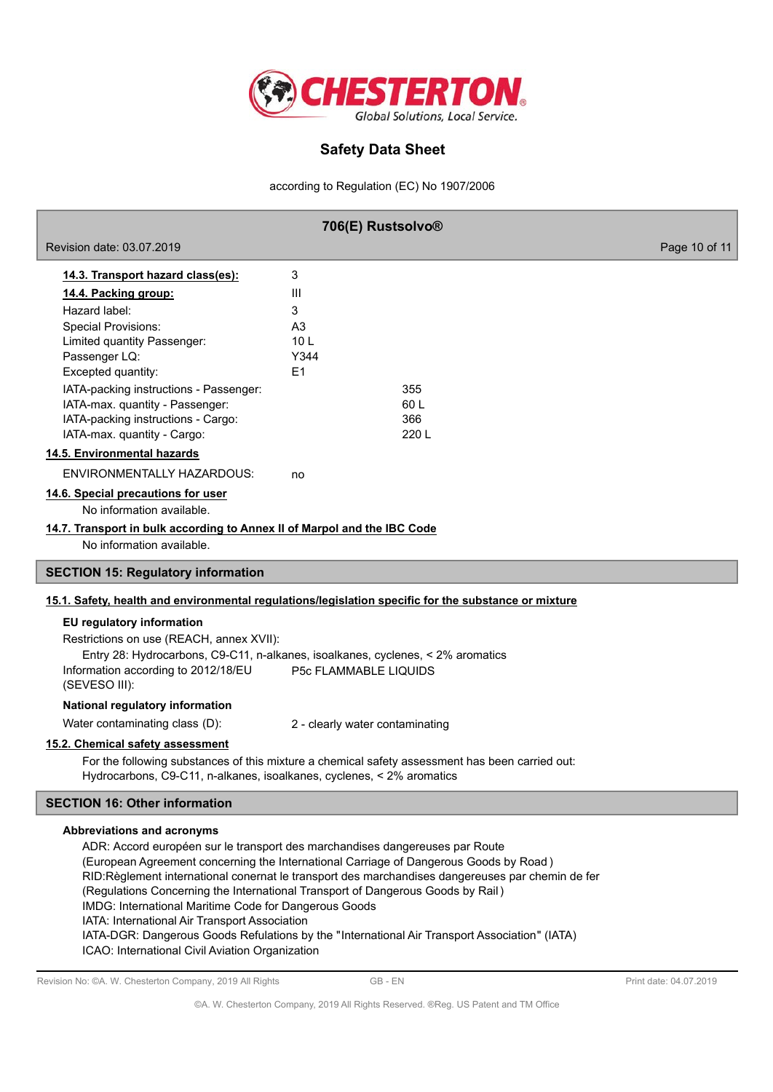

according to Regulation (EC) No 1907/2006

| 706(E) Rustsolvo®                                                                                     |                                                                                                                                                                                      |               |
|-------------------------------------------------------------------------------------------------------|--------------------------------------------------------------------------------------------------------------------------------------------------------------------------------------|---------------|
| Revision date: 03.07.2019                                                                             |                                                                                                                                                                                      | Page 10 of 11 |
| 14.3. Transport hazard class(es):                                                                     | 3                                                                                                                                                                                    |               |
| 14.4. Packing group:                                                                                  | Ш                                                                                                                                                                                    |               |
| Hazard label:                                                                                         | 3                                                                                                                                                                                    |               |
| <b>Special Provisions:</b>                                                                            | A <sub>3</sub>                                                                                                                                                                       |               |
| Limited quantity Passenger:                                                                           | 10 <sub>L</sub>                                                                                                                                                                      |               |
| Passenger LQ:                                                                                         | Y344<br>E1                                                                                                                                                                           |               |
| Excepted quantity:<br>IATA-packing instructions - Passenger:                                          | 355                                                                                                                                                                                  |               |
| IATA-max. quantity - Passenger:                                                                       | 60L                                                                                                                                                                                  |               |
| IATA-packing instructions - Cargo:                                                                    | 366                                                                                                                                                                                  |               |
| IATA-max. quantity - Cargo:                                                                           | 220 L                                                                                                                                                                                |               |
| 14.5. Environmental hazards                                                                           |                                                                                                                                                                                      |               |
| <b>ENVIRONMENTALLY HAZARDOUS:</b>                                                                     | no                                                                                                                                                                                   |               |
| 14.6. Special precautions for user<br>No information available.                                       |                                                                                                                                                                                      |               |
| 14.7. Transport in bulk according to Annex II of Marpol and the IBC Code<br>No information available. |                                                                                                                                                                                      |               |
| <b>SECTION 15: Regulatory information</b>                                                             |                                                                                                                                                                                      |               |
|                                                                                                       | 15.1. Safety, health and environmental regulations/legislation specific for the substance or mixture                                                                                 |               |
| EU regulatory information                                                                             |                                                                                                                                                                                      |               |
| Restrictions on use (REACH, annex XVII):                                                              |                                                                                                                                                                                      |               |
|                                                                                                       | Entry 28: Hydrocarbons, C9-C11, n-alkanes, isoalkanes, cyclenes, < 2% aromatics                                                                                                      |               |
| Information according to 2012/18/EU<br>(SEVESO III):                                                  | P5c FLAMMABLE LIQUIDS                                                                                                                                                                |               |
| National regulatory information                                                                       |                                                                                                                                                                                      |               |
| Water contaminating class (D):                                                                        | 2 - clearly water contaminating                                                                                                                                                      |               |
| 15.2. Chemical safety assessment                                                                      |                                                                                                                                                                                      |               |
| Hydrocarbons, C9-C11, n-alkanes, isoalkanes, cyclenes, < 2% aromatics                                 | For the following substances of this mixture a chemical safety assessment has been carried out:                                                                                      |               |
| <b>SECTION 16: Other information</b>                                                                  |                                                                                                                                                                                      |               |
| Abbreviations and acronyms                                                                            |                                                                                                                                                                                      |               |
|                                                                                                       | ADR: Accord européen sur le transport des marchandises dangereuses par Route                                                                                                         |               |
|                                                                                                       | (European Agreement concerning the International Carriage of Dangerous Goods by Road)                                                                                                |               |
|                                                                                                       | RID: Règlement international conernat le transport des marchandises dangereuses par chemin de fer<br>(Regulations Concerning the International Transport of Dangerous Goods by Rail) |               |
| IMDG: International Maritime Code for Dangerous Goods                                                 |                                                                                                                                                                                      |               |
| IATA: International Air Transport Association                                                         |                                                                                                                                                                                      |               |
|                                                                                                       | IATA-DGR: Dangerous Goods Refulations by the "International Air Transport Association" (IATA)                                                                                        |               |
| ICAO: International Civil Aviation Organization                                                       |                                                                                                                                                                                      |               |